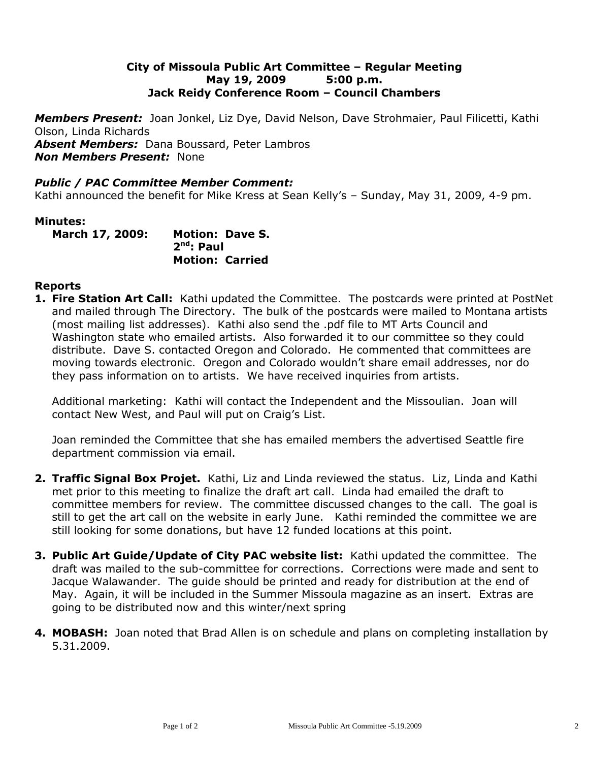## **City of Missoula Public Art Committee – Regular Meeting May 19, 2009 5:00 p.m. Jack Reidy Conference Room – Council Chambers**

*Members Present:* Joan Jonkel, Liz Dye, David Nelson, Dave Strohmaier, Paul Filicetti, Kathi Olson, Linda Richards

*Absent Members:* Dana Boussard, Peter Lambros *Non Members Present:* None

#### *Public / PAC Committee Member Comment:*

Kathi announced the benefit for Mike Kress at Sean Kelly's – Sunday, May 31, 2009, 4-9 pm.

#### **Minutes:**

**March 17, 2009: Motion: Dave S. 2 nd : Paul Motion: Carried**

## **Reports**

**1. Fire Station Art Call:** Kathi updated the Committee. The postcards were printed at PostNet and mailed through The Directory. The bulk of the postcards were mailed to Montana artists (most mailing list addresses). Kathi also send the .pdf file to MT Arts Council and Washington state who emailed artists. Also forwarded it to our committee so they could distribute. Dave S. contacted Oregon and Colorado. He commented that committees are moving towards electronic. Oregon and Colorado wouldn't share email addresses, nor do they pass information on to artists. We have received inquiries from artists.

Additional marketing: Kathi will contact the Independent and the Missoulian. Joan will contact New West, and Paul will put on Craig's List.

Joan reminded the Committee that she has emailed members the advertised Seattle fire department commission via email.

- **2. Traffic Signal Box Projet.** Kathi, Liz and Linda reviewed the status. Liz, Linda and Kathi met prior to this meeting to finalize the draft art call. Linda had emailed the draft to committee members for review. The committee discussed changes to the call. The goal is still to get the art call on the website in early June. Kathi reminded the committee we are still looking for some donations, but have 12 funded locations at this point.
- **3. Public Art Guide/Update of City PAC website list:** Kathi updated the committee. The draft was mailed to the sub-committee for corrections. Corrections were made and sent to Jacque Walawander. The guide should be printed and ready for distribution at the end of May. Again, it will be included in the Summer Missoula magazine as an insert. Extras are going to be distributed now and this winter/next spring
- **4. MOBASH:** Joan noted that Brad Allen is on schedule and plans on completing installation by 5.31.2009.